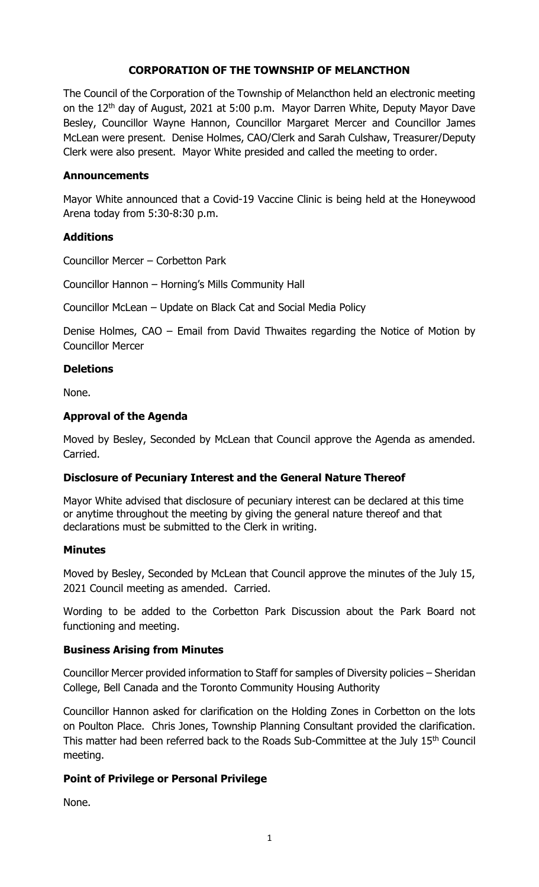# **CORPORATION OF THE TOWNSHIP OF MELANCTHON**

The Council of the Corporation of the Township of Melancthon held an electronic meeting on the 12th day of August, 2021 at 5:00 p.m. Mayor Darren White, Deputy Mayor Dave Besley, Councillor Wayne Hannon, Councillor Margaret Mercer and Councillor James McLean were present. Denise Holmes, CAO/Clerk and Sarah Culshaw, Treasurer/Deputy Clerk were also present. Mayor White presided and called the meeting to order.

## **Announcements**

Mayor White announced that a Covid-19 Vaccine Clinic is being held at the Honeywood Arena today from 5:30-8:30 p.m.

### **Additions**

Councillor Mercer – Corbetton Park

Councillor Hannon – Horning's Mills Community Hall

Councillor McLean – Update on Black Cat and Social Media Policy

Denise Holmes, CAO – Email from David Thwaites regarding the Notice of Motion by Councillor Mercer

### **Deletions**

None.

### **Approval of the Agenda**

Moved by Besley, Seconded by McLean that Council approve the Agenda as amended. Carried.

## **Disclosure of Pecuniary Interest and the General Nature Thereof**

Mayor White advised that disclosure of pecuniary interest can be declared at this time or anytime throughout the meeting by giving the general nature thereof and that declarations must be submitted to the Clerk in writing.

#### **Minutes**

Moved by Besley, Seconded by McLean that Council approve the minutes of the July 15, 2021 Council meeting as amended. Carried.

Wording to be added to the Corbetton Park Discussion about the Park Board not functioning and meeting.

#### **Business Arising from Minutes**

Councillor Mercer provided information to Staff for samples of Diversity policies – Sheridan College, Bell Canada and the Toronto Community Housing Authority

Councillor Hannon asked for clarification on the Holding Zones in Corbetton on the lots on Poulton Place. Chris Jones, Township Planning Consultant provided the clarification. This matter had been referred back to the Roads Sub-Committee at the July 15<sup>th</sup> Council meeting.

## **Point of Privilege or Personal Privilege**

None.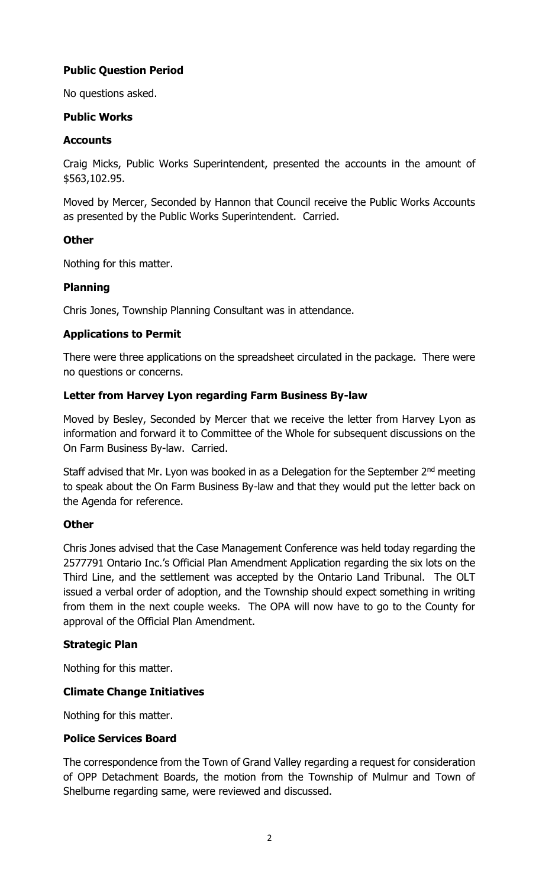# **Public Question Period**

No questions asked.

### **Public Works**

### **Accounts**

Craig Micks, Public Works Superintendent, presented the accounts in the amount of \$563,102.95.

Moved by Mercer, Seconded by Hannon that Council receive the Public Works Accounts as presented by the Public Works Superintendent. Carried.

### **Other**

Nothing for this matter.

## **Planning**

Chris Jones, Township Planning Consultant was in attendance.

## **Applications to Permit**

There were three applications on the spreadsheet circulated in the package. There were no questions or concerns.

### **Letter from Harvey Lyon regarding Farm Business By-law**

Moved by Besley, Seconded by Mercer that we receive the letter from Harvey Lyon as information and forward it to Committee of the Whole for subsequent discussions on the On Farm Business By-law. Carried.

Staff advised that Mr. Lyon was booked in as a Delegation for the September 2<sup>nd</sup> meeting to speak about the On Farm Business By-law and that they would put the letter back on the Agenda for reference.

## **Other**

Chris Jones advised that the Case Management Conference was held today regarding the 2577791 Ontario Inc.'s Official Plan Amendment Application regarding the six lots on the Third Line, and the settlement was accepted by the Ontario Land Tribunal. The OLT issued a verbal order of adoption, and the Township should expect something in writing from them in the next couple weeks. The OPA will now have to go to the County for approval of the Official Plan Amendment.

## **Strategic Plan**

Nothing for this matter.

## **Climate Change Initiatives**

Nothing for this matter.

#### **Police Services Board**

The correspondence from the Town of Grand Valley regarding a request for consideration of OPP Detachment Boards, the motion from the Township of Mulmur and Town of Shelburne regarding same, were reviewed and discussed.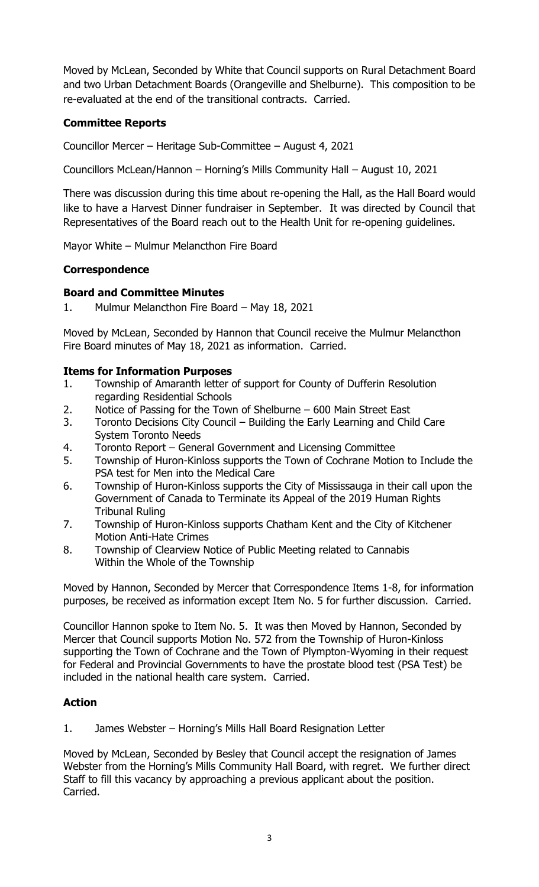Moved by McLean, Seconded by White that Council supports on Rural Detachment Board and two Urban Detachment Boards (Orangeville and Shelburne). This composition to be re-evaluated at the end of the transitional contracts. Carried.

# **Committee Reports**

Councillor Mercer – Heritage Sub-Committee – August 4, 2021

Councillors McLean/Hannon – Horning's Mills Community Hall – August 10, 2021

There was discussion during this time about re-opening the Hall, as the Hall Board would like to have a Harvest Dinner fundraiser in September. It was directed by Council that Representatives of the Board reach out to the Health Unit for re-opening guidelines.

Mayor White – Mulmur Melancthon Fire Board

## **Correspondence**

## **Board and Committee Minutes**

1. Mulmur Melancthon Fire Board – May 18, 2021

Moved by McLean, Seconded by Hannon that Council receive the Mulmur Melancthon Fire Board minutes of May 18, 2021 as information. Carried.

### **Items for Information Purposes**

- 1. Township of Amaranth letter of support for County of Dufferin Resolution regarding Residential Schools
- 2. Notice of Passing for the Town of Shelburne 600 Main Street East
- 3. Toronto Decisions City Council Building the Early Learning and Child Care System Toronto Needs
- 4. Toronto Report General Government and Licensing Committee
- 5. Township of Huron-Kinloss supports the Town of Cochrane Motion to Include the PSA test for Men into the Medical Care
- 6. Township of Huron-Kinloss supports the City of Mississauga in their call upon the Government of Canada to Terminate its Appeal of the 2019 Human Rights Tribunal Ruling
- 7. Township of Huron-Kinloss supports Chatham Kent and the City of Kitchener Motion Anti-Hate Crimes
- 8. Township of Clearview Notice of Public Meeting related to Cannabis Within the Whole of the Township

Moved by Hannon, Seconded by Mercer that Correspondence Items 1-8, for information purposes, be received as information except Item No. 5 for further discussion. Carried.

Councillor Hannon spoke to Item No. 5. It was then Moved by Hannon, Seconded by Mercer that Council supports Motion No. 572 from the Township of Huron-Kinloss supporting the Town of Cochrane and the Town of Plympton-Wyoming in their request for Federal and Provincial Governments to have the prostate blood test (PSA Test) be included in the national health care system. Carried.

## **Action**

1. James Webster – Horning's Mills Hall Board Resignation Letter

Moved by McLean, Seconded by Besley that Council accept the resignation of James Webster from the Horning's Mills Community Hall Board, with regret. We further direct Staff to fill this vacancy by approaching a previous applicant about the position. Carried.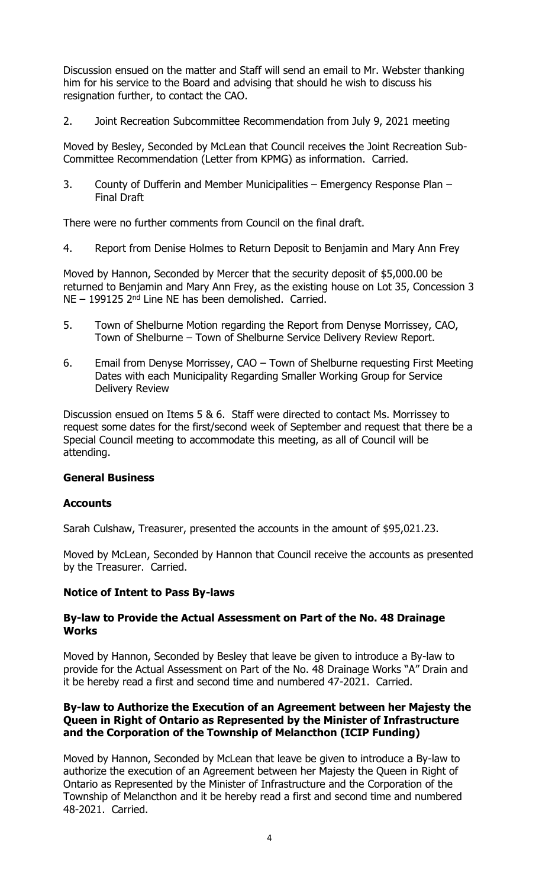Discussion ensued on the matter and Staff will send an email to Mr. Webster thanking him for his service to the Board and advising that should he wish to discuss his resignation further, to contact the CAO.

2. Joint Recreation Subcommittee Recommendation from July 9, 2021 meeting

Moved by Besley, Seconded by McLean that Council receives the Joint Recreation Sub-Committee Recommendation (Letter from KPMG) as information. Carried.

3. County of Dufferin and Member Municipalities – Emergency Response Plan – Final Draft

There were no further comments from Council on the final draft.

4. Report from Denise Holmes to Return Deposit to Benjamin and Mary Ann Frey

Moved by Hannon, Seconded by Mercer that the security deposit of \$5,000.00 be returned to Benjamin and Mary Ann Frey, as the existing house on Lot 35, Concession 3  $NE - 199125$  2<sup>nd</sup> Line NE has been demolished. Carried.

- 5. Town of Shelburne Motion regarding the Report from Denyse Morrissey, CAO, Town of Shelburne – Town of Shelburne Service Delivery Review Report.
- 6. Email from Denyse Morrissey, CAO Town of Shelburne requesting First Meeting Dates with each Municipality Regarding Smaller Working Group for Service Delivery Review

Discussion ensued on Items 5 & 6. Staff were directed to contact Ms. Morrissey to request some dates for the first/second week of September and request that there be a Special Council meeting to accommodate this meeting, as all of Council will be attending.

#### **General Business**

#### **Accounts**

Sarah Culshaw, Treasurer, presented the accounts in the amount of \$95,021.23.

Moved by McLean, Seconded by Hannon that Council receive the accounts as presented by the Treasurer. Carried.

#### **Notice of Intent to Pass By-laws**

#### **By-law to Provide the Actual Assessment on Part of the No. 48 Drainage Works**

Moved by Hannon, Seconded by Besley that leave be given to introduce a By-law to provide for the Actual Assessment on Part of the No. 48 Drainage Works "A" Drain and it be hereby read a first and second time and numbered 47-2021. Carried.

### **By-law to Authorize the Execution of an Agreement between her Majesty the Queen in Right of Ontario as Represented by the Minister of Infrastructure and the Corporation of the Township of Melancthon (ICIP Funding)**

Moved by Hannon, Seconded by McLean that leave be given to introduce a By-law to authorize the execution of an Agreement between her Majesty the Queen in Right of Ontario as Represented by the Minister of Infrastructure and the Corporation of the Township of Melancthon and it be hereby read a first and second time and numbered 48-2021. Carried.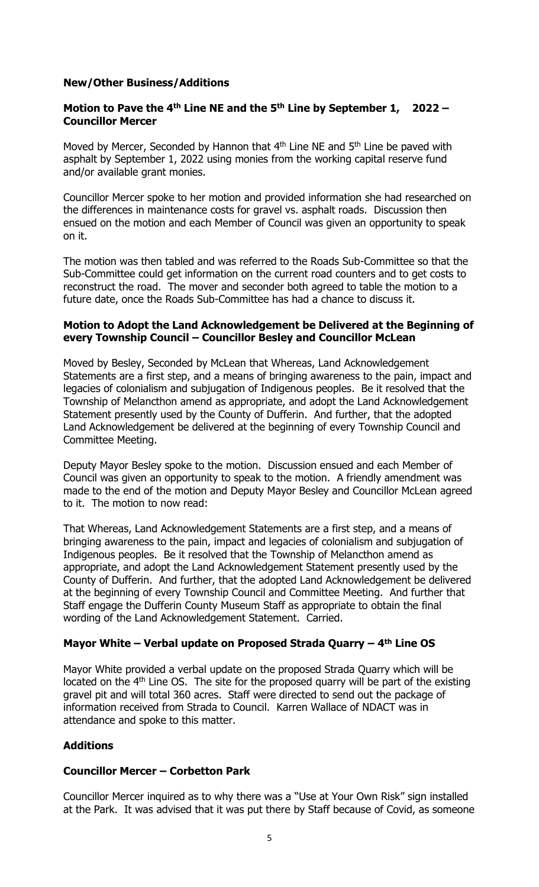### **New/Other Business/Additions**

### **Motion to Pave the 4th Line NE and the 5th Line by September 1, 2022 – Councillor Mercer**

Moved by Mercer, Seconded by Hannon that  $4<sup>th</sup>$  Line NE and  $5<sup>th</sup>$  Line be paved with asphalt by September 1, 2022 using monies from the working capital reserve fund and/or available grant monies.

Councillor Mercer spoke to her motion and provided information she had researched on the differences in maintenance costs for gravel vs. asphalt roads. Discussion then ensued on the motion and each Member of Council was given an opportunity to speak on it.

The motion was then tabled and was referred to the Roads Sub-Committee so that the Sub-Committee could get information on the current road counters and to get costs to reconstruct the road. The mover and seconder both agreed to table the motion to a future date, once the Roads Sub-Committee has had a chance to discuss it.

### **Motion to Adopt the Land Acknowledgement be Delivered at the Beginning of every Township Council – Councillor Besley and Councillor McLean**

Moved by Besley, Seconded by McLean that Whereas, Land Acknowledgement Statements are a first step, and a means of bringing awareness to the pain, impact and legacies of colonialism and subjugation of Indigenous peoples. Be it resolved that the Township of Melancthon amend as appropriate, and adopt the Land Acknowledgement Statement presently used by the County of Dufferin. And further, that the adopted Land Acknowledgement be delivered at the beginning of every Township Council and Committee Meeting.

Deputy Mayor Besley spoke to the motion. Discussion ensued and each Member of Council was given an opportunity to speak to the motion. A friendly amendment was made to the end of the motion and Deputy Mayor Besley and Councillor McLean agreed to it. The motion to now read:

That Whereas, Land Acknowledgement Statements are a first step, and a means of bringing awareness to the pain, impact and legacies of colonialism and subjugation of Indigenous peoples. Be it resolved that the Township of Melancthon amend as appropriate, and adopt the Land Acknowledgement Statement presently used by the County of Dufferin. And further, that the adopted Land Acknowledgement be delivered at the beginning of every Township Council and Committee Meeting. And further that Staff engage the Dufferin County Museum Staff as appropriate to obtain the final wording of the Land Acknowledgement Statement. Carried.

## **Mayor White – Verbal update on Proposed Strada Quarry – 4 th Line OS**

Mayor White provided a verbal update on the proposed Strada Quarry which will be located on the  $4<sup>th</sup>$  Line OS. The site for the proposed quarry will be part of the existing gravel pit and will total 360 acres. Staff were directed to send out the package of information received from Strada to Council. Karren Wallace of NDACT was in attendance and spoke to this matter.

## **Additions**

#### **Councillor Mercer – Corbetton Park**

Councillor Mercer inquired as to why there was a "Use at Your Own Risk" sign installed at the Park. It was advised that it was put there by Staff because of Covid, as someone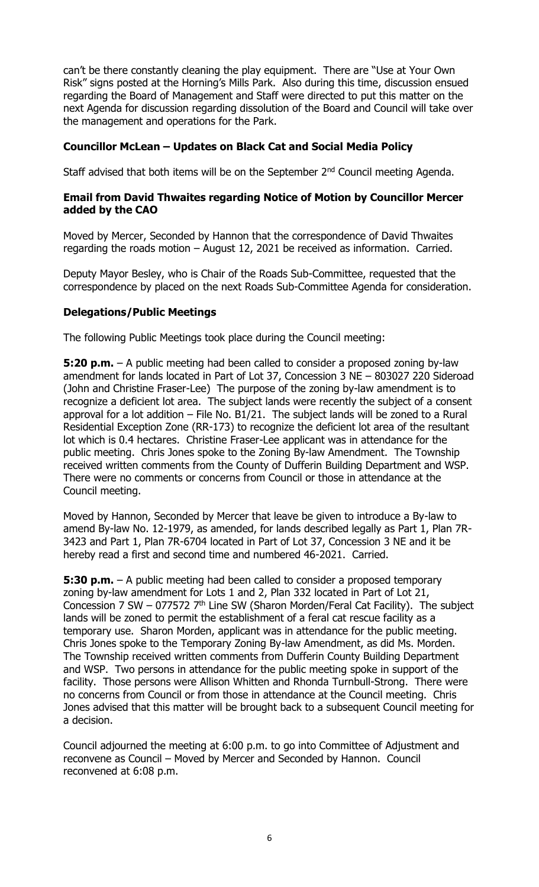can't be there constantly cleaning the play equipment. There are "Use at Your Own Risk" signs posted at the Horning's Mills Park. Also during this time, discussion ensued regarding the Board of Management and Staff were directed to put this matter on the next Agenda for discussion regarding dissolution of the Board and Council will take over the management and operations for the Park.

### **Councillor McLean – Updates on Black Cat and Social Media Policy**

Staff advised that both items will be on the September 2<sup>nd</sup> Council meeting Agenda.

#### **Email from David Thwaites regarding Notice of Motion by Councillor Mercer added by the CAO**

Moved by Mercer, Seconded by Hannon that the correspondence of David Thwaites regarding the roads motion – August 12, 2021 be received as information. Carried.

Deputy Mayor Besley, who is Chair of the Roads Sub-Committee, requested that the correspondence by placed on the next Roads Sub-Committee Agenda for consideration.

#### **Delegations/Public Meetings**

The following Public Meetings took place during the Council meeting:

**5:20 p.m.** – A public meeting had been called to consider a proposed zoning by-law amendment for lands located in Part of Lot 37, Concession 3 NE – 803027 220 Sideroad (John and Christine Fraser-Lee) The purpose of the zoning by-law amendment is to recognize a deficient lot area. The subject lands were recently the subject of a consent approval for a lot addition – File No. B1/21. The subject lands will be zoned to a Rural Residential Exception Zone (RR-173) to recognize the deficient lot area of the resultant lot which is 0.4 hectares. Christine Fraser-Lee applicant was in attendance for the public meeting. Chris Jones spoke to the Zoning By-law Amendment. The Township received written comments from the County of Dufferin Building Department and WSP. There were no comments or concerns from Council or those in attendance at the Council meeting.

Moved by Hannon, Seconded by Mercer that leave be given to introduce a By-law to amend By-law No. 12-1979, as amended, for lands described legally as Part 1, Plan 7R-3423 and Part 1, Plan 7R-6704 located in Part of Lot 37, Concession 3 NE and it be hereby read a first and second time and numbered 46-2021. Carried.

**5:30 p.m.** – A public meeting had been called to consider a proposed temporary zoning by-law amendment for Lots 1 and 2, Plan 332 located in Part of Lot 21, Concession 7 SW – 077572  $7<sup>th</sup>$  Line SW (Sharon Morden/Feral Cat Facility). The subject lands will be zoned to permit the establishment of a feral cat rescue facility as a temporary use. Sharon Morden, applicant was in attendance for the public meeting. Chris Jones spoke to the Temporary Zoning By-law Amendment, as did Ms. Morden. The Township received written comments from Dufferin County Building Department and WSP. Two persons in attendance for the public meeting spoke in support of the facility. Those persons were Allison Whitten and Rhonda Turnbull-Strong. There were no concerns from Council or from those in attendance at the Council meeting. Chris Jones advised that this matter will be brought back to a subsequent Council meeting for a decision.

Council adjourned the meeting at 6:00 p.m. to go into Committee of Adjustment and reconvene as Council – Moved by Mercer and Seconded by Hannon. Council reconvened at 6:08 p.m.